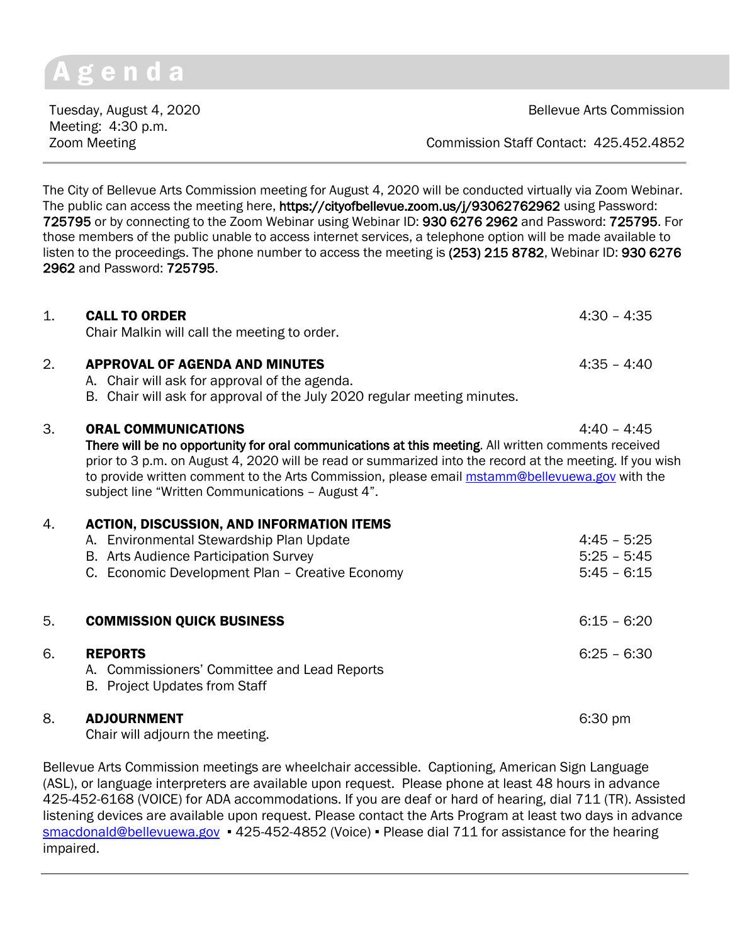# g e n d a

Meeting: 4:30 p.m.

Tuesday, August 4, 2020 **Bellevue Arts Commission** 

Zoom Meeting Commission Staff Contact: 425.452.4852

The City of Bellevue Arts Commission meeting for August 4, 2020 will be conducted virtually via Zoom Webinar. The public can access the meeting here, https://cityofbellevue.zoom.us/j/93062762962 using Password: 725795 or by connecting to the Zoom Webinar using Webinar ID: 930 6276 2962 and Password: 725795. For those members of the public unable to access internet services, a telephone option will be made available to listen to the proceedings. The phone number to access the meeting is (253) 215 8782, Webinar ID: 930 6276 2962 and Password: 725795.

# 1. CALL TO ORDER 4:30 – 4:35 Chair Malkin will call the meeting to order. 2. APPROVAL OF AGENDA AND MINUTES 4:35 - 4:40

- A. Chair will ask for approval of the agenda.
- B. Chair will ask for approval of the July 2020 regular meeting minutes.

#### 3. ORAL COMMUNICATIONS 4:40 – 4:45

There will be no opportunity for oral communications at this meeting. All written comments received prior to 3 p.m. on August 4, 2020 will be read or summarized into the record at the meeting. If you wish to provide written comment to the Arts Commission, please email [mstamm@bellevuewa.gov](mailto:mstamm@bellevuewa.gov) with the subject line "Written Communications – August 4".

## 4. ACTION, DISCUSSION, AND INFORMATION ITEMS

|    | A. Environmental Stewardship Plan Update<br>B. Arts Audience Participation Survey<br>C. Economic Development Plan - Creative Economy | $4:45 - 5:25$<br>$5:25 - 5:45$<br>$5:45 - 6:15$ |
|----|--------------------------------------------------------------------------------------------------------------------------------------|-------------------------------------------------|
| 5. | <b>COMMISSION QUICK BUSINESS</b>                                                                                                     | $6:15 - 6:20$                                   |
| 6. | <b>REPORTS</b><br>A. Commissioners' Committee and Lead Reports<br><b>B.</b> Project Updates from Staff                               | $6:25 - 6:30$                                   |

#### 8. **ADJOURNMENT** 6:30 pm

Chair will adjourn the meeting.

Bellevue Arts Commission meetings are wheelchair accessible. Captioning, American Sign Language (ASL), or language interpreters are available upon request. Please phone at least 48 hours in advance 425-452-6168 (VOICE) for ADA accommodations. If you are deaf or hard of hearing, dial 711 (TR). Assisted listening devices are available upon request. Please contact the Arts Program at least two days in advance [smacdonald@bellevuewa.gov](mailto:smacdonald@bellevuewa.gov) • 425-452-4852 (Voice) • Please dial 711 for assistance for the hearing impaired.